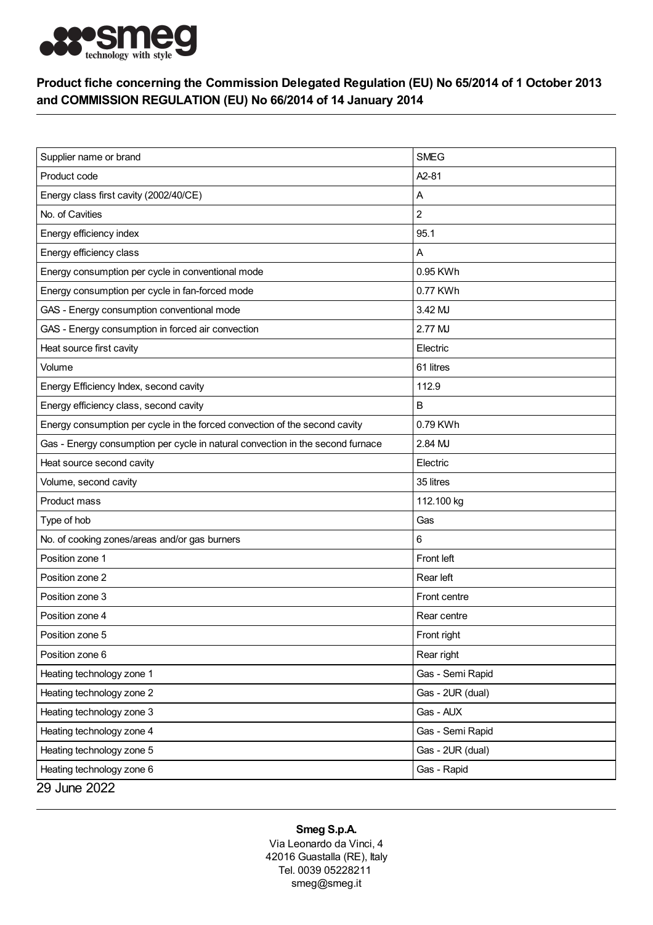

## Product fiche concerning the Commission Delegated Regulation (EU) No 65/2014 of 1 October 2013 and COMMISSION REGULATION (EU) No 66/2014 of 14 January 2014

| Supplier name or brand                                                         | <b>SMEG</b>        |
|--------------------------------------------------------------------------------|--------------------|
| Product code                                                                   | A <sub>2</sub> -81 |
| Energy class first cavity (2002/40/CE)                                         | Α                  |
| No. of Cavities                                                                | $\overline{c}$     |
| Energy efficiency index                                                        | 95.1               |
| Energy efficiency class                                                        | Α                  |
|                                                                                |                    |
| Energy consumption per cycle in conventional mode                              | 0.95 KWh           |
| Energy consumption per cycle in fan-forced mode                                | 0.77 KWh           |
| GAS - Energy consumption conventional mode                                     | 3.42 MJ            |
| GAS - Energy consumption in forced air convection                              | 2.77 MJ            |
| Heat source first cavity                                                       | Electric           |
| Volume                                                                         | 61 litres          |
| Energy Efficiency Index, second cavity                                         | 112.9              |
| Energy efficiency class, second cavity                                         | в                  |
| Energy consumption per cycle in the forced convection of the second cavity     | 0.79 KWh           |
| Gas - Energy consumption per cycle in natural convection in the second furnace | 2.84 MJ            |
| Heat source second cavity                                                      | Electric           |
| Volume, second cavity                                                          | 35 litres          |
| Product mass                                                                   | 112.100 kg         |
| Type of hob                                                                    | Gas                |
| No. of cooking zones/areas and/or gas burners                                  | 6                  |
| Position zone 1                                                                | Front left         |
| Position zone 2                                                                | Rear left          |
| Position zone 3                                                                | Front centre       |
| Position zone 4                                                                | Rear centre        |
| Position zone 5                                                                | Front right        |
| Position zone 6                                                                | Rear right         |
| Heating technology zone 1                                                      | Gas - Semi Rapid   |
| Heating technology zone 2                                                      | Gas - 2UR (dual)   |
| Heating technology zone 3                                                      | Gas - AUX          |
| Heating technology zone 4                                                      | Gas - Semi Rapid   |
| Heating technology zone 5                                                      | Gas - 2UR (dual)   |
| Heating technology zone 6                                                      | Gas - Rapid        |
| 29 June 2022                                                                   |                    |

## Smeg S.p.A.

Via Leonardo da Vinci, 4 42016 Guastalla (RE), Italy Tel. 0039 05228211 smeg@smeg.it